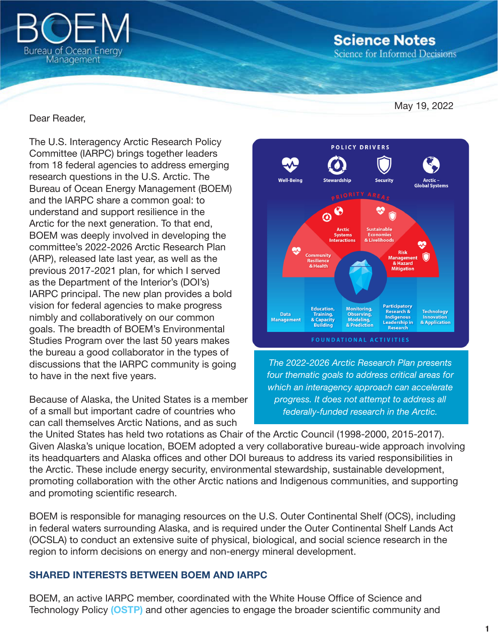

**Science Notes** 

**Science for Informed Decisions** 

May 19, 2022

### Dear Reader,

The U.S. Interagency Arctic Research Policy Committee (IARPC) brings together leaders from 18 federal agencies to address emerging research questions in the U.S. Arctic. The Bureau of Ocean Energy Management (BOEM) and the IARPC share a common goal: to understand and support resilience in the Arctic for the next generation. To that end, BOEM was deeply involved in developing the committee's 2022-2026 Arctic Research Plan (ARP), released late last year, as well as the previous 2017-2021 plan, for which I served as the Department of the Interior's (DOI's) IARPC principal. The new plan provides a bold vision for federal agencies to make progress nimbly and collaboratively on our common goals. The breadth of BOEM's Environmental Studies Program over the last 50 years makes the bureau a good collaborator in the types of discussions that the IARPC community is going to have in the next five years.

Because of Alaska, the United States is a member of a small but important cadre of countries who can call themselves Arctic Nations, and as such



*The 2022-2026 Arctic Research Plan presents four thematic goals to address critical areas for which an interagency approach can accelerate progress. It does not attempt to address all federally-funded research in the Arctic.*

the United States has held two rotations as Chair of the Arctic Council (1998-2000, 2015-2017). Given Alaska's unique location, BOEM adopted a very collaborative bureau-wide approach involving its headquarters and Alaska offices and other DOI bureaus to address its varied responsibilities in the Arctic. These include energy security, environmental stewardship, sustainable development, promoting collaboration with the other Arctic nations and Indigenous communities, and supporting and promoting scientific research.

BOEM is responsible for managing resources on the U.S. Outer Continental Shelf (OCS), including in federal waters surrounding Alaska, and is required under the Outer Continental Shelf Lands Act (OCSLA) to conduct an extensive suite of physical, biological, and social science research in the region to inform decisions on energy and non-energy mineral development.

#### SHARED INTERESTS BETWEEN BOEM AND IARPC

BOEM, an active IARPC member, coordinated with the White House Office of Science and Technology Policy [\(OSTP\)](https://www.whitehouse.gov/ostp/news-updates/2021/12/15/white-house-office-of-science-and-technology-policy-announces-a-bold-strategy-to-understand-a-changing-arctic/) and other agencies to engage the broader scientific community and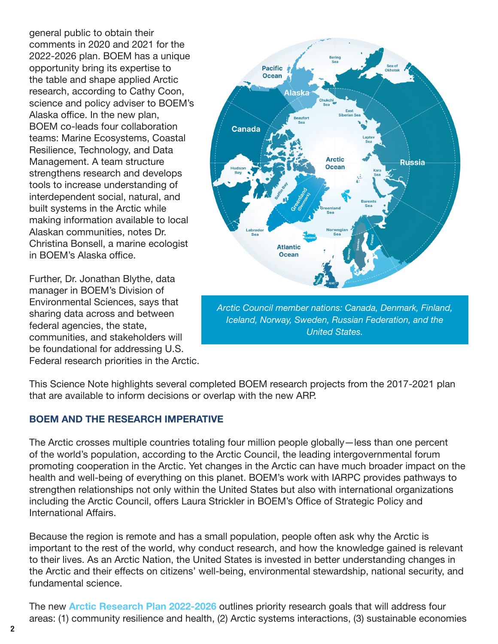general public to obtain their comments in 2020 and 2021 for the 2022-2026 plan. BOEM has a unique opportunity bring its expertise to the table and shape applied Arctic research, according to Cathy Coon, science and policy adviser to BOEM's Alaska office. In the new plan, BOEM co-leads four collaboration teams: Marine Ecosystems, Coastal Resilience, Technology, and Data Management. A team structure strengthens research and develops tools to increase understanding of interdependent social, natural, and built systems in the Arctic while making information available to local Alaskan communities, notes Dr. Christina Bonsell, a marine ecologist in BOEM's Alaska office.

Further, Dr. Jonathan Blythe, data manager in BOEM's Division of Environmental Sciences, says that sharing data across and between federal agencies, the state, communities, and stakeholders will be foundational for addressing U.S. Federal research priorities in the Arctic.



*Iceland, Norway, Sweden, Russian Federation, and the United States.*

This Science Note highlights several completed BOEM research projects from the 2017-2021 plan that are available to inform decisions or overlap with the new ARP.

## BOEM AND THE RESEARCH IMPERATIVE

The Arctic crosses multiple countries totaling four million people globally—less than one percent of the world's population, according to the Arctic Council, the leading intergovernmental forum promoting cooperation in the Arctic. Yet changes in the Arctic can have much broader impact on the health and well-being of everything on this planet. BOEM's work with IARPC provides pathways to strengthen relationships not only within the United States but also with international organizations including the Arctic Council, offers Laura Strickler in BOEM's Office of Strategic Policy and International Affairs.

Because the region is remote and has a small population, people often ask why the Arctic is important to the rest of the world, why conduct research, and how the knowledge gained is relevant to their lives. As an Arctic Nation, the United States is invested in better understanding changes in the Arctic and their effects on citizens' well-being, environmental stewardship, national security, and fundamental science.

The new **[Arctic Research Plan 2022-2026](https://www.iarpccollaborations.org/plan/index.html)** outlines priority research goals that will address four areas: (1) community resilience and health, (2) Arctic systems interactions, (3) sustainable economies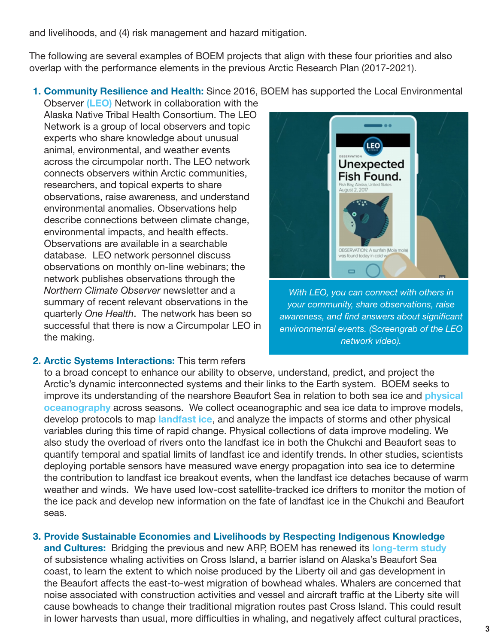and livelihoods, and (4) risk management and hazard mitigation.

The following are several examples of BOEM projects that align with these four priorities and also overlap with the performance elements in the previous Arctic Research Plan (2017-2021).

1. Community Resilience and Health: Since 2016, BOEM has supported the Local Environmental

Observer [\(LEO\)](https://www.leonetwork.org/en/docs/about/about) Network in collaboration with the Alaska Native Tribal Health Consortium. The LEO Network is a group of local observers and topic experts who share knowledge about unusual animal, environmental, and weather events across the circumpolar north. The LEO network connects observers within Arctic communities, researchers, and topical experts to share observations, raise awareness, and understand environmental anomalies. Observations help describe connections between climate change, environmental impacts, and health effects. Observations are available in a searchable database. LEO network personnel discuss observations on monthly on-line webinars; the network publishes observations through the *Northern Climate Observer* newsletter and a summary of recent relevant observations in the quarterly *One Health*. The network has been so successful that there is now a Circumpolar LEO in the making.



*With LEO, you can connect with others in your community, share observations, raise awareness, and find answers about significant environmental events. (Screengrab of the LEO network video).*

### 2. Arctic Systems Interactions: This term refers

to a broad concept to enhance our ability to observe, understand, predict, and project the Arctic's dynamic interconnected systems and their links to the Earth system. BOEM seeks to improve its understanding of the nearshore Beaufort Sea in relation to both sea ice and **physical** [oceanography](https://marinecadastre.gov/espis/#/search/study/26869) across seasons. We collect oceanographic and sea ice data to improve models, develop protocols to map *[landfast ice](https://marinecadastre.gov/espis/#/search/study/100258)*, and analyze the impacts of storms and other physical variables during this time of rapid change. Physical collections of data improve modeling. We also study the overload of rivers onto the landfast ice in both the Chukchi and Beaufort seas to quantify temporal and spatial limits of landfast ice and identify trends. In other studies, scientists deploying portable sensors have measured wave energy propagation into sea ice to determine the contribution to landfast ice breakout events, when the landfast ice detaches because of warm weather and winds. We have used low-cost satellite-tracked ice drifters to monitor the motion of the ice pack and develop new information on the fate of landfast ice in the Chukchi and Beaufort seas.

# 3. Provide Sustainable Economies and Livelihoods by Respecting Indigenous Knowledge

and Cultures: Bridging the previous and new ARP, BOEM has renewed its [long-term study](https://marinecadastre.gov/espis/#/search/study/100274) of subsistence whaling activities on Cross Island, a barrier island on Alaska's Beaufort Sea coast, to learn the extent to which noise produced by the Liberty oil and gas development in the Beaufort affects the east-to-west migration of bowhead whales. Whalers are concerned that noise associated with construction activities and vessel and aircraft traffic at the Liberty site will cause bowheads to change their traditional migration routes past Cross Island. This could result in lower harvests than usual, more difficulties in whaling, and negatively affect cultural practices,